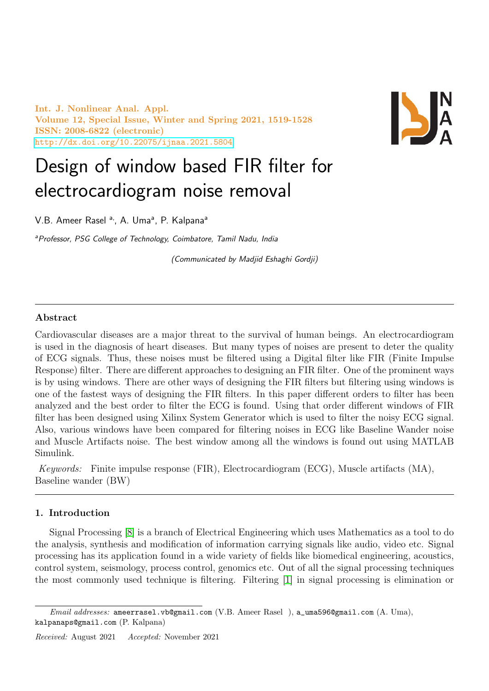Int. J. Nonlinear Anal. Appl. Volume 12, Special Issue, Winter and Spring 2021, 1519-1528 ISSN: 2008-6822 (electronic) <http://dx.doi.org/10.22075/ijnaa.2021.5804>



# Design of window based FIR filter for electrocardiogram noise removal

V.B. Ameer Rasel <sup>a,</sup>, A. Uma<sup>a</sup>, P. Kalpana<sup>a</sup>

<sup>a</sup>Professor, PSG College of Technology, Coimbatore, Tamil Nadu, India

(Communicated by Madjid Eshaghi Gordji)

## Abstract

Cardiovascular diseases are a major threat to the survival of human beings. An electrocardiogram is used in the diagnosis of heart diseases. But many types of noises are present to deter the quality of ECG signals. Thus, these noises must be filtered using a Digital filter like FIR (Finite Impulse Response) filter. There are different approaches to designing an FIR filter. One of the prominent ways is by using windows. There are other ways of designing the FIR filters but filtering using windows is one of the fastest ways of designing the FIR filters. In this paper different orders to filter has been analyzed and the best order to filter the ECG is found. Using that order different windows of FIR filter has been designed using Xilinx System Generator which is used to filter the noisy ECG signal. Also, various windows have been compared for filtering noises in ECG like Baseline Wander noise and Muscle Artifacts noise. The best window among all the windows is found out using MATLAB Simulink.

Keywords: Finite impulse response (FIR), Electrocardiogram (ECG), Muscle artifacts (MA), Baseline wander (BW)

#### 1. Introduction

Signal Processing [\[8\]](#page-9-0) is a branch of Electrical Engineering which uses Mathematics as a tool to do the analysis, synthesis and modification of information carrying signals like audio, video etc. Signal processing has its application found in a wide variety of fields like biomedical engineering, acoustics, control system, seismology, process control, genomics etc. Out of all the signal processing techniques the most commonly used technique is filtering. Filtering [\[1\]](#page-8-0) in signal processing is elimination or

Email addresses: ameerrasel.vb@gmail.com (V.B. Ameer Rasel), a\_uma596@gmail.com (A. Uma), kalpanaps@gmail.com (P. Kalpana)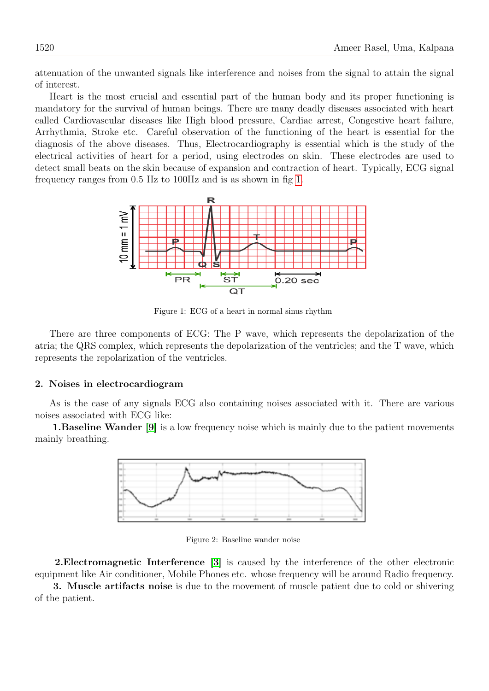attenuation of the unwanted signals like interference and noises from the signal to attain the signal of interest.

Heart is the most crucial and essential part of the human body and its proper functioning is mandatory for the survival of human beings. There are many deadly diseases associated with heart called Cardiovascular diseases like High blood pressure, Cardiac arrest, Congestive heart failure, Arrhythmia, Stroke etc. Careful observation of the functioning of the heart is essential for the diagnosis of the above diseases. Thus, Electrocardiography is essential which is the study of the electrical activities of heart for a period, using electrodes on skin. These electrodes are used to detect small beats on the skin because of expansion and contraction of heart. Typically, ECG signal frequency ranges from 0.5 Hz to 100Hz and is as shown in fig [1.](#page-1-0)



<span id="page-1-0"></span>Figure 1: ECG of a heart in normal sinus rhythm

There are three components of ECG: The P wave, which represents the depolarization of the atria; the QRS complex, which represents the depolarization of the ventricles; and the T wave, which represents the repolarization of the ventricles.

#### 2. Noises in electrocardiogram

As is the case of any signals ECG also containing noises associated with it. There are various noises associated with ECG like:

1.Baseline Wander [\[9\]](#page-9-1) is a low frequency noise which is mainly due to the patient movements mainly breathing.



Figure 2: Baseline wander noise

2.Electromagnetic Interference [\[3\]](#page-8-1) is caused by the interference of the other electronic equipment like Air conditioner, Mobile Phones etc. whose frequency will be around Radio frequency.

3. Muscle artifacts noise is due to the movement of muscle patient due to cold or shivering of the patient.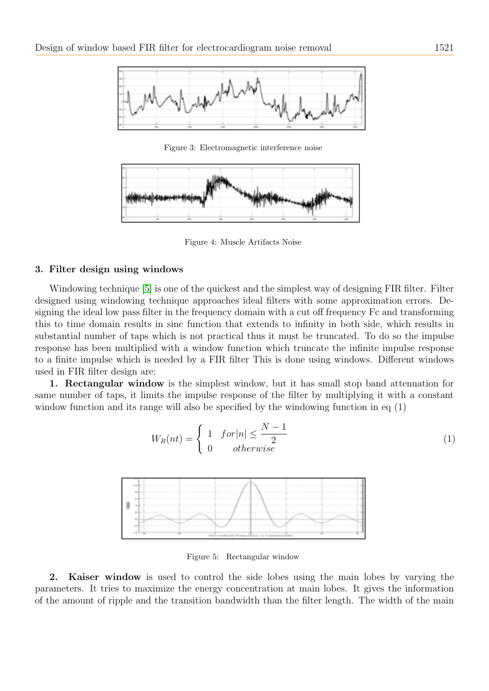

Figure 3: Electromagnetic interference noise



Figure 4: Muscle Artifacts Noise

#### 3. Filter design using windows

Windowing technique [\[5\]](#page-9-2) is one of the quickest and the simplest way of designing FIR filter. Filter designed using windowing technique approaches ideal filters with some approximation errors. Designing the ideal low pass filter in the frequency domain with a cut off frequency Fc and transforming this to time domain results in sinc function that extends to infinity in both side, which results in substantial number of taps which is not practical thus it must be truncated. To do so the impulse response has been multiplied with a window function which truncate the infinite impulse response to a finite impulse which is needed by a FIR filter This is done using windows. Different windows used in FIR filter design are:

1. Rectangular window is the simplest window, but it has small stop band attenuation for same number of taps, it limits the impulse response of the filter by multiplying it with a constant window function and its range will also be specified by the windowing function in eq  $(1)$ 

$$
W_R(nt) = \begin{cases} 1 & \text{for } |n| \le \frac{N-1}{2} \\ 0 & \text{otherwise} \end{cases} \tag{1}
$$



Figure 5: Rectangular window

2. Kaiser window is used to control the side lobes using the main lobes by varying the parameters. It tries to maximize the energy concentration at main lobes. It gives the information of the amount of ripple and the transition bandwidth than the filter length. The width of the main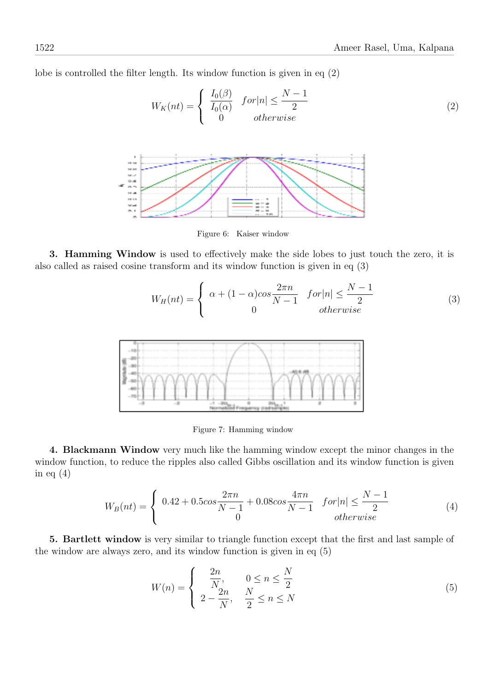lobe is controlled the filter length. Its window function is given in eq (2)

$$
W_K(nt) = \begin{cases} \frac{I_0(\beta)}{I_0(\alpha)} & \text{for } |n| \le \frac{N-1}{2} \\ 0 & \text{otherwise} \end{cases} \tag{2}
$$



Figure 6: Kaiser window

3. Hamming Window is used to effectively make the side lobes to just touch the zero, it is also called as raised cosine transform and its window function is given in eq (3)

$$
W_H(nt) = \begin{cases} \alpha + (1 - \alpha)\cos\frac{2\pi n}{N - 1} & \text{for } |n| \le \frac{N - 1}{2} \\ 0 & \text{otherwise} \end{cases}
$$
(3)



Figure 7: Hamming window

4. Blackmann Window very much like the hamming window except the minor changes in the window function, to reduce the ripples also called Gibbs oscillation and its window function is given in eq  $(4)$ 

$$
W_B(nt) = \begin{cases} 0.42 + 0.5 \cos \frac{2\pi n}{N - 1} + 0.08 \cos \frac{4\pi n}{N - 1} & for |n| \le \frac{N - 1}{2} \\ 0 & otherwise \end{cases}
$$
(4)

5. Bartlett window is very similar to triangle function except that the first and last sample of the window are always zero, and its window function is given in eq (5)

$$
W(n) = \begin{cases} \frac{2n}{N}, & 0 \le n \le \frac{N}{2} \\ 2 - \frac{2n}{N}, & \frac{N}{2} \le n \le N \end{cases} \tag{5}
$$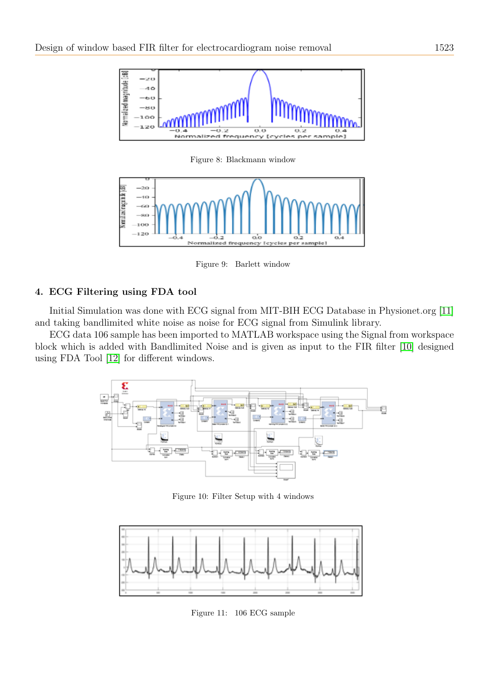

Figure 8: Blackmann window



Figure 9: Barlett window

# 4. ECG Filtering using FDA tool

Initial Simulation was done with ECG signal from MIT-BIH ECG Database in Physionet.org [\[11\]](#page-9-3) and taking bandlimited white noise as noise for ECG signal from Simulink library.

ECG data 106 sample has been imported to MATLAB workspace using the Signal from workspace block which is added with Bandlimited Noise and is given as input to the FIR filter [\[10\]](#page-9-4) designed using FDA Tool [\[12\]](#page-9-5) for different windows.



Figure 10: Filter Setup with 4 windows



Figure 11: 106 ECG sample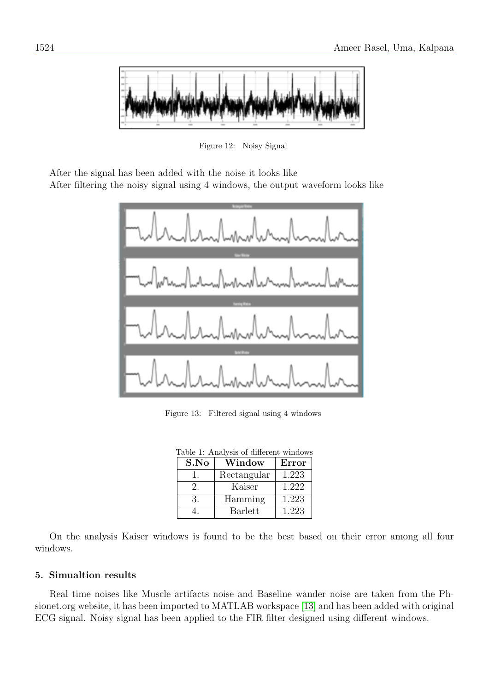

Figure 12: Noisy Signal

After the signal has been added with the noise it looks like

After filtering the noisy signal using 4 windows, the output waveform looks like



Figure 13: Filtered signal using 4 windows

| Table 1: Analysis of different windows |                |       |  |  |
|----------------------------------------|----------------|-------|--|--|
| S.No                                   | Window         | Error |  |  |
|                                        | Rectangular    | 1.223 |  |  |
| 2.                                     | Kaiser         | 1.222 |  |  |
| 3.                                     | Hamming        | 1.223 |  |  |
|                                        | <b>Barlett</b> | 1.223 |  |  |

On the analysis Kaiser windows is found to be the best based on their error among all four windows.

# 5. Simualtion results

Real time noises like Muscle artifacts noise and Baseline wander noise are taken from the Phsionet.org website, it has been imported to MATLAB workspace [\[13\]](#page-9-6) and has been added with original ECG signal. Noisy signal has been applied to the FIR filter designed using different windows.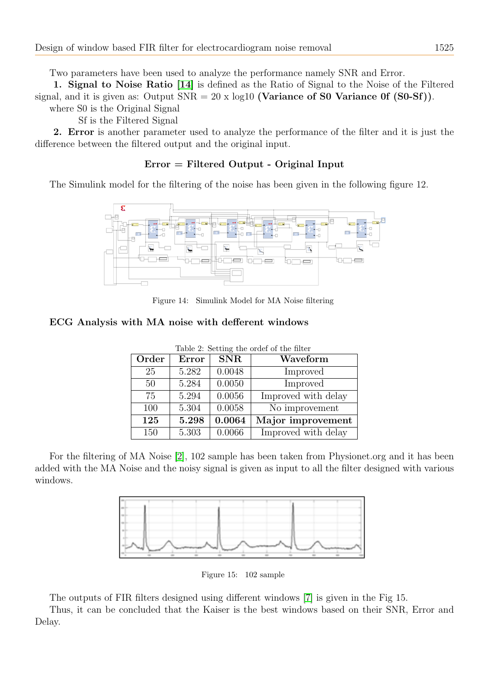Two parameters have been used to analyze the performance namely SNR and Error.

1. Signal to Noise Ratio [\[14\]](#page-9-7) is defined as the Ratio of Signal to the Noise of the Filtered signal, and it is given as: Output  $SNR = 20 \times log10$  (Variance of S0 Variance 0f (S0-Sf)).

where S0 is the Original Signal

Sf is the Filtered Signal

2. Error is another parameter used to analyze the performance of the filter and it is just the difference between the filtered output and the original input.

# Error = Filtered Output - Original Input

The Simulink model for the filtering of the noise has been given in the following figure 12.



Figure 14: Simulink Model for MA Noise filtering

# ECG Analysis with MA noise with defferent windows

| Order | Error | <b>SNR</b> | Waveform            |
|-------|-------|------------|---------------------|
| 25    | 5.282 | 0.0048     | Improved            |
| 50    | 5.284 | 0.0050     | Improved            |
| 75    | 5.294 | 0.0056     | Improved with delay |
| 100   | 5.304 | 0.0058     | No improvement      |
| 125   | 5.298 | 0.0064     | Major improvement   |
| 150   | 5.303 | 0.0066     | Improved with delay |

Table 2: Setting the ordef of the filter

For the filtering of MA Noise [\[2\]](#page-8-2), 102 sample has been taken from Physionet.org and it has been added with the MA Noise and the noisy signal is given as input to all the filter designed with various windows.



Figure 15: 102 sample

The outputs of FIR filters designed using different windows [\[7\]](#page-9-8) is given in the Fig 15.

Thus, it can be concluded that the Kaiser is the best windows based on their SNR, Error and Delay.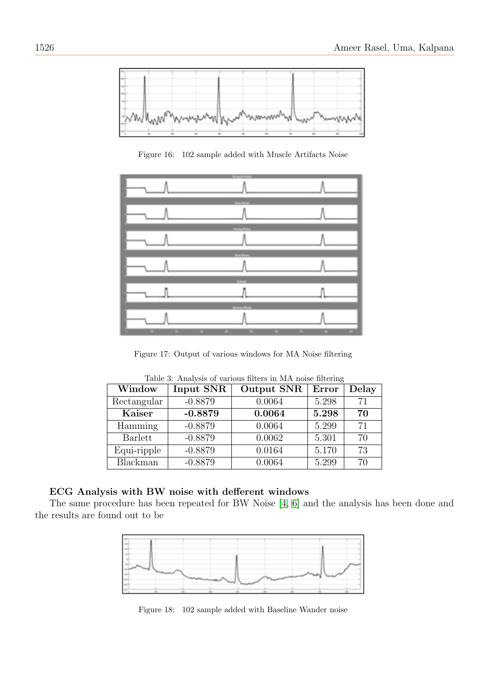

Figure 16: 102 sample added with Muscle Artifacts Noise



Figure 17: Output of various windows for MA Noise filtering

| Window      | Input SNR | Output SNR | Error | Delay |
|-------------|-----------|------------|-------|-------|
| Rectangular | $-0.8879$ | 0.0064     | 5.298 | 71    |
| Kaiser      | $-0.8879$ | 0.0064     | 5.298 | 70    |
| Hamming     | $-0.8879$ | 0.0064     | 5.299 | 71    |
| Barlett     | $-0.8879$ | 0.0062     | 5.301 | 70    |
| Equi-ripple | $-0.8879$ | 0.0164     | 5.170 | 73    |
| Blackman    | $-0.8879$ | 0.0064     | 5.299 | 70    |

Table 3: Analysis of various filters in MA noise filtering

## ECG Analysis with BW noise with defferent windows

The same procedure has been repeated for BW Noise [\[4,](#page-9-9) [6\]](#page-9-10) and the analysis has been done and the results are found out to be



Figure 18: 102 sample added with Baseline Wander noise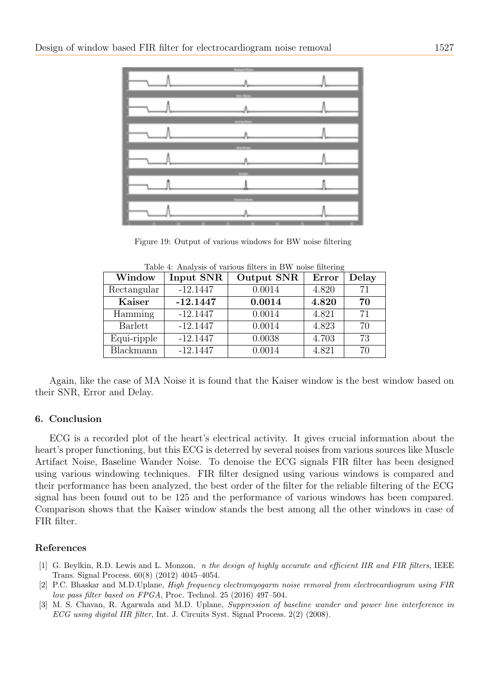| $\label{eq:1} \begin{array}{lll} \mathcal{L}_{\text{max}}(\mathcal{L}_{\text{max}},\mathcal{L}_{\text{max}}) & \mathcal{L}_{\text{max}}(\mathcal{L}_{\text{max}}) \\ \mathcal{L}_{\text{max}}(\mathcal{L}_{\text{max}}) & \mathcal{L}_{\text{max}}(\mathcal{L}_{\text{max}}) & \mathcal{L}_{\text{max}}(\mathcal{L}_{\text{max}}) \\ \mathcal{L}_{\text{max}}(\mathcal{L}_{\text{max}}) & \mathcal{L}_{\text{max}}(\mathcal{L}_{\text{max}}) & \mathcal{L}_{\text{max}}(\mathcal{L}_{\text{max}}) \\ \math$ |  |
|-------------------------------------------------------------------------------------------------------------------------------------------------------------------------------------------------------------------------------------------------------------------------------------------------------------------------------------------------------------------------------------------------------------------------------------------------------------------------------------------------------------|--|
| $\overline{\phantom{a}}$                                                                                                                                                                                                                                                                                                                                                                                                                                                                                    |  |
| $\begin{picture}(20,10) \put(0,0){\vector(1,0){10}} \put(15,0){\vector(1,0){10}} \put(15,0){\vector(1,0){10}} \put(15,0){\vector(1,0){10}} \put(15,0){\vector(1,0){10}} \put(15,0){\vector(1,0){10}} \put(15,0){\vector(1,0){10}} \put(15,0){\vector(1,0){10}} \put(15,0){\vector(1,0){10}} \put(15,0){\vector(1,0){10}} \put(15,0){\vector(1,0){10}} \put(15,0){\vector(1$                                                                                                                                 |  |
|                                                                                                                                                                                                                                                                                                                                                                                                                                                                                                             |  |
|                                                                                                                                                                                                                                                                                                                                                                                                                                                                                                             |  |
|                                                                                                                                                                                                                                                                                                                                                                                                                                                                                                             |  |

|  |  | Figure 19: Output of various windows for BW noise filtering |
|--|--|-------------------------------------------------------------|
|  |  |                                                             |

| Window         | Input SNR  | Output SNR | Error | Delay |
|----------------|------------|------------|-------|-------|
| Rectangular    | $-12.1447$ | 0.0014     | 4.820 | 71    |
| Kaiser         | $-12.1447$ | 0.0014     | 4.820 | 70    |
| Hamming        | $-12.1447$ | 0.0014     | 4.821 | 71    |
| <b>Barlett</b> | $-12.1447$ | 0.0014     | 4.823 | 70    |
| Equi-ripple    | $-12.1447$ | 0.0038     | 4.703 | 73    |
| Blackmann      | $-12.1447$ | 0.0014     | 4.821 | 70    |

Table 4: Analysis of various filters in BW noise filtering

Again, like the case of MA Noise it is found that the Kaiser window is the best window based on their SNR, Error and Delay.

#### 6. Conclusion

ECG is a recorded plot of the heart's electrical activity. It gives crucial information about the heart's proper functioning, but this ECG is deterred by several noises from various sources like Muscle Artifact Noise, Baseline Wander Noise. To denoise the ECG signals FIR filter has been designed using various windowing techniques. FIR filter designed using various windows is compared and their performance has been analyzed, the best order of the filter for the reliable filtering of the ECG signal has been found out to be 125 and the performance of various windows has been compared. Comparison shows that the Kaiser window stands the best among all the other windows in case of FIR filter.

#### References

- <span id="page-8-0"></span>[1] G. Beylkin, R.D. Lewis and L. Monzon, *n* the design of highly accurate and efficient IIR and FIR filters, IEEE Trans. Signal Process. 60(8) (2012) 4045–4054.
- <span id="page-8-2"></span>[2] P.C. Bhaskar and M.D.Uplane, High frequency electromyogarm noise removal from electrocardiogram using FIR low pass filter based on FPGA, Proc. Technol. 25 (2016) 497–504.
- <span id="page-8-1"></span>[3] M. S. Chavan, R. Agarwala and M.D. Uplane, Suppression of baseline wander and power line interference in ECG using digital IIR filter, Int. J. Circuits Syst. Signal Process. 2(2) (2008).